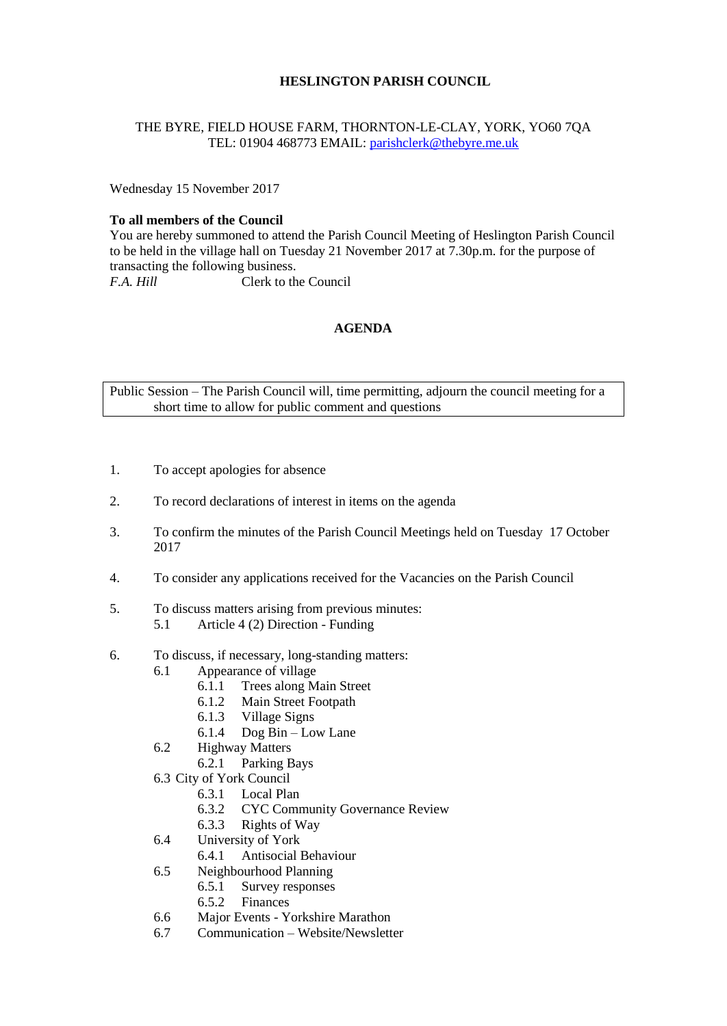# **HESLINGTON PARISH COUNCIL**

### THE BYRE, FIELD HOUSE FARM, THORNTON-LE-CLAY, YORK, YO60 7QA TEL: 01904 468773 EMAIL: [parishclerk@thebyre.me.uk](mailto:parishclerk@thebyre.me.uk)

Wednesday 15 November 2017

#### **To all members of the Council**

You are hereby summoned to attend the Parish Council Meeting of Heslington Parish Council to be held in the village hall on Tuesday 21 November 2017 at 7.30p.m. for the purpose of transacting the following business. *F.A. Hill* Clerk to the Council

**AGENDA**

Public Session – The Parish Council will, time permitting, adjourn the council meeting for a short time to allow for public comment and questions

- 1. To accept apologies for absence
- 2. To record declarations of interest in items on the agenda
- 3. To confirm the minutes of the Parish Council Meetings held on Tuesday 17 October 2017
- 4. To consider any applications received for the Vacancies on the Parish Council
- 5. To discuss matters arising from previous minutes:
	- 5.1 Article 4 (2) Direction Funding
- 6. To discuss, if necessary, long-standing matters:
	- 6.1 Appearance of village
		- 6.1.1 Trees along Main Street
		- 6.1.2 Main Street Footpath
		- 6.1.3 Village Signs
		- 6.1.4 Dog Bin Low Lane
	- 6.2 Highway Matters
		- 6.2.1 Parking Bays
	- 6.3 City of York Council
		- 6.3.1 Local Plan
		- 6.3.2 CYC Community Governance Review
		- 6.3.3 Rights of Way
	- 6.4 University of York
		- 6.4.1 Antisocial Behaviour
	- 6.5 Neighbourhood Planning
		- 6.5.1 Survey responses
		- 6.5.2 Finances
	- 6.6 Major Events Yorkshire Marathon
	- 6.7 Communication Website/Newsletter